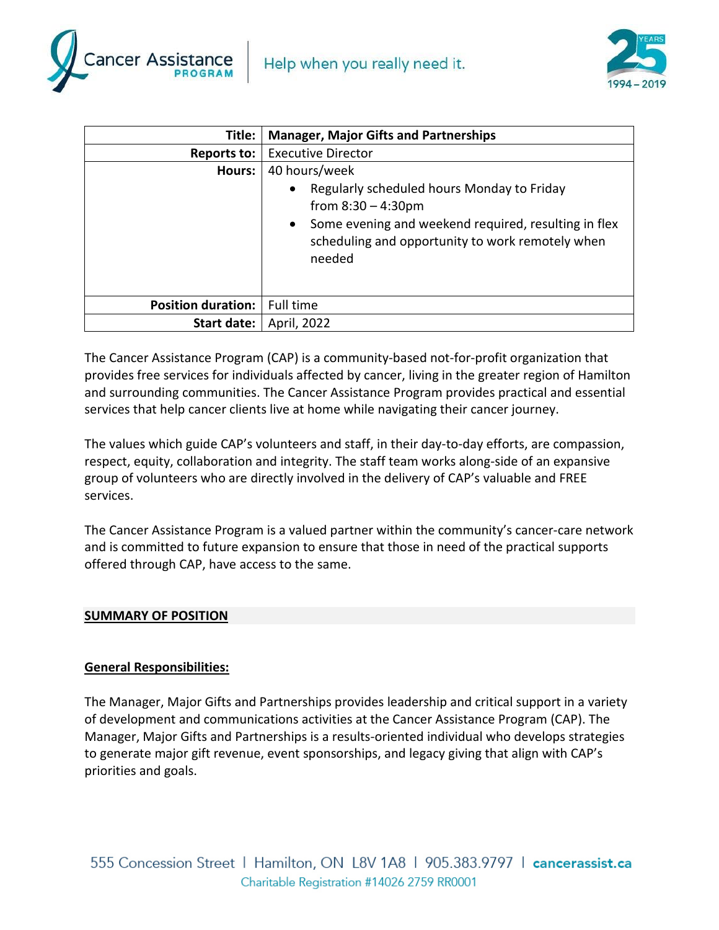



| Title:                    | <b>Manager, Major Gifts and Partnerships</b>                                                                                                                                                                        |
|---------------------------|---------------------------------------------------------------------------------------------------------------------------------------------------------------------------------------------------------------------|
| Reports to:               | <b>Executive Director</b>                                                                                                                                                                                           |
| <b>Hours:</b>             | 40 hours/week                                                                                                                                                                                                       |
|                           | Regularly scheduled hours Monday to Friday<br>$\bullet$<br>from $8:30 - 4:30$ pm<br>Some evening and weekend required, resulting in flex<br>$\bullet$<br>scheduling and opportunity to work remotely when<br>needed |
| <b>Position duration:</b> | Full time                                                                                                                                                                                                           |
| Start date:               | April, 2022                                                                                                                                                                                                         |

The Cancer Assistance Program (CAP) is a community-based not-for-profit organization that provides free services for individuals affected by cancer, living in the greater region of Hamilton and surrounding communities. The Cancer Assistance Program provides practical and essential services that help cancer clients live at home while navigating their cancer journey.

The values which guide CAP's volunteers and staff, in their day-to-day efforts, are compassion, respect, equity, collaboration and integrity. The staff team works along-side of an expansive group of volunteers who are directly involved in the delivery of CAP's valuable and FREE services.

The Cancer Assistance Program is a valued partner within the community's cancer-care network and is committed to future expansion to ensure that those in need of the practical supports offered through CAP, have access to the same.

## **SUMMARY OF POSITION**

## **General Responsibilities:**

The Manager, Major Gifts and Partnerships provides leadership and critical support in a variety of development and communications activities at the Cancer Assistance Program (CAP). The Manager, Major Gifts and Partnerships is a results-oriented individual who develops strategies to generate major gift revenue, event sponsorships, and legacy giving that align with CAP's priorities and goals.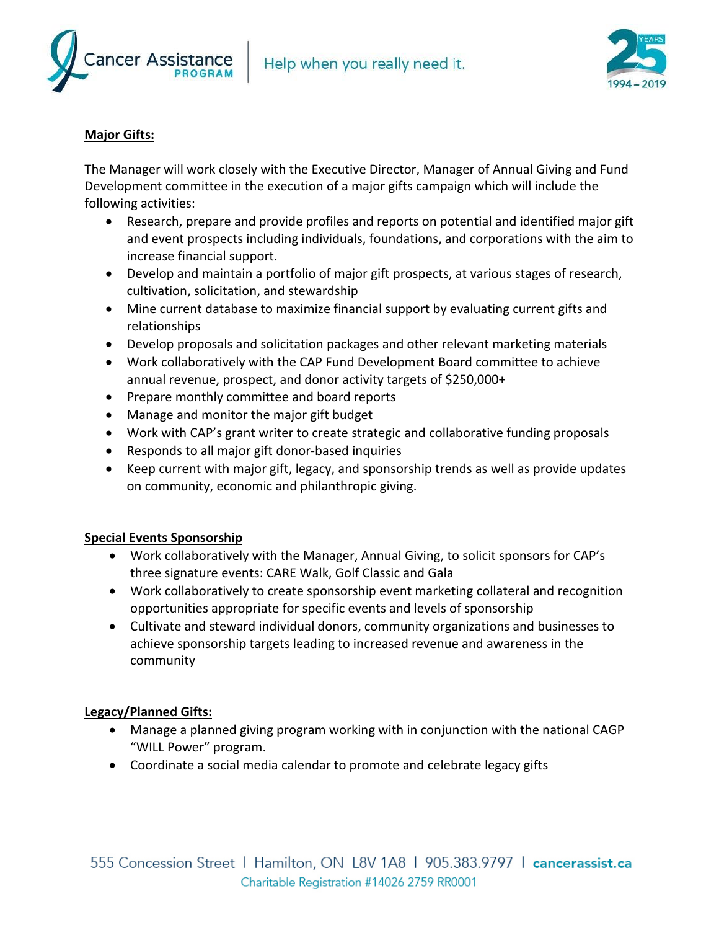



# **Major Gifts:**

The Manager will work closely with the Executive Director, Manager of Annual Giving and Fund Development committee in the execution of a major gifts campaign which will include the following activities:

- Research, prepare and provide profiles and reports on potential and identified major gift and event prospects including individuals, foundations, and corporations with the aim to increase financial support.
- Develop and maintain a portfolio of major gift prospects, at various stages of research, cultivation, solicitation, and stewardship
- Mine current database to maximize financial support by evaluating current gifts and relationships
- Develop proposals and solicitation packages and other relevant marketing materials
- Work collaboratively with the CAP Fund Development Board committee to achieve annual revenue, prospect, and donor activity targets of \$250,000+
- Prepare monthly committee and board reports
- Manage and monitor the major gift budget
- Work with CAP's grant writer to create strategic and collaborative funding proposals
- Responds to all major gift donor-based inquiries
- Keep current with major gift, legacy, and sponsorship trends as well as provide updates on community, economic and philanthropic giving.

## **Special Events Sponsorship**

- Work collaboratively with the Manager, Annual Giving, to solicit sponsors for CAP's three signature events: CARE Walk, Golf Classic and Gala
- Work collaboratively to create sponsorship event marketing collateral and recognition opportunities appropriate for specific events and levels of sponsorship
- Cultivate and steward individual donors, community organizations and businesses to achieve sponsorship targets leading to increased revenue and awareness in the community

# **Legacy/Planned Gifts:**

- Manage a planned giving program working with in conjunction with the national CAGP "WILL Power" program.
- Coordinate a social media calendar to promote and celebrate legacy gifts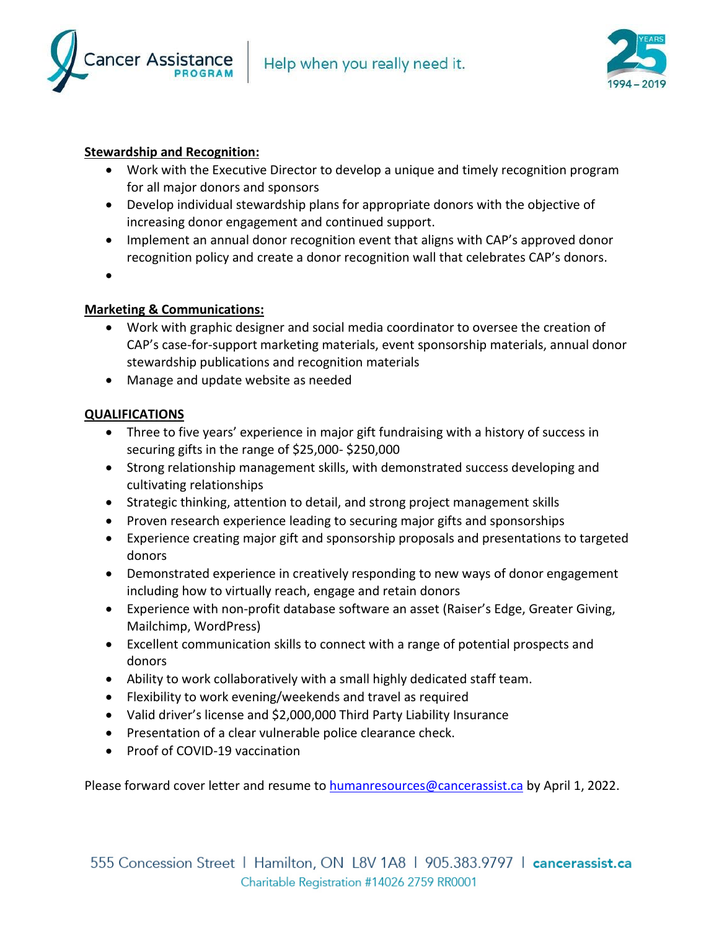



# **Stewardship and Recognition:**

- Work with the Executive Director to develop a unique and timely recognition program for all major donors and sponsors
- Develop individual stewardship plans for appropriate donors with the objective of increasing donor engagement and continued support.
- Implement an annual donor recognition event that aligns with CAP's approved donor recognition policy and create a donor recognition wall that celebrates CAP's donors.
- •

## **Marketing & Communications:**

- Work with graphic designer and social media coordinator to oversee the creation of CAP's case-for-support marketing materials, event sponsorship materials, annual donor stewardship publications and recognition materials
- Manage and update website as needed

## **QUALIFICATIONS**

- Three to five years' experience in major gift fundraising with a history of success in securing gifts in the range of \$25,000- \$250,000
- Strong relationship management skills, with demonstrated success developing and cultivating relationships
- Strategic thinking, attention to detail, and strong project management skills
- Proven research experience leading to securing major gifts and sponsorships
- Experience creating major gift and sponsorship proposals and presentations to targeted donors
- Demonstrated experience in creatively responding to new ways of donor engagement including how to virtually reach, engage and retain donors
- Experience with non-profit database software an asset (Raiser's Edge, Greater Giving, Mailchimp, WordPress)
- Excellent communication skills to connect with a range of potential prospects and donors
- Ability to work collaboratively with a small highly dedicated staff team.
- Flexibility to work evening/weekends and travel as required
- Valid driver's license and \$2,000,000 Third Party Liability Insurance
- Presentation of a clear vulnerable police clearance check.
- Proof of COVID-19 vaccination

Please forward cover letter and resume t[o humanresources@cancerassist.ca](mailto:humanresources@cancerassist.ca) by April 1, 2022.